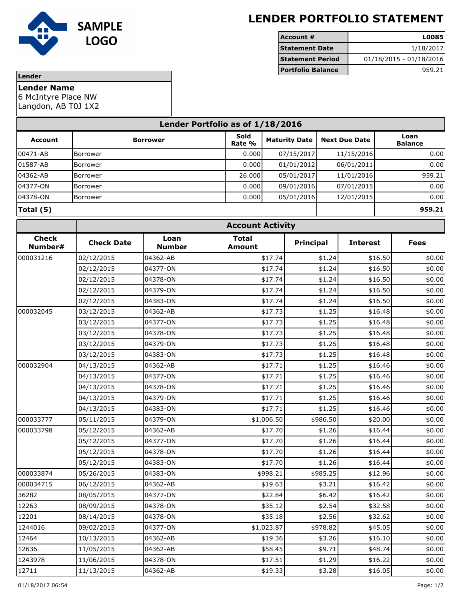

## **LENDER PORTFOLIO STATEMENT**

| Account #                | L00851                    |
|--------------------------|---------------------------|
| <b>Statement Date</b>    | 1/18/2017                 |
| <b>Statement Period</b>  | $01/18/2015 - 01/18/2016$ |
| <b>Portfolio Balance</b> | 959.21                    |

## **Lender**

**Lender Name**

6 McIntyre Place NW

Langdon, AB T0J 1X2

| Lender Portfolio as of 1/18/2016 |                 |                |                      |                      |                        |  |
|----------------------------------|-----------------|----------------|----------------------|----------------------|------------------------|--|
| <b>Account</b>                   | <b>Borrower</b> | Sold<br>Rate % | <b>Maturity Date</b> | <b>Next Due Date</b> | Loan<br><b>Balance</b> |  |
| 00471-AB                         | Borrower        | 0.000          | 07/15/2017           | 11/15/2016           | 0.00                   |  |
| 01587-AB                         | Borrower        | 0.000          | 01/01/2012           | 06/01/2011           | 0.00                   |  |
| 04362-AB                         | Borrower        | 26,000         | 05/01/2017           | 11/01/2016           | 959.21                 |  |
| 04377-ON                         | <b>Borrower</b> | 0.000          | 09/01/2016           | 07/01/2015           | 0.00                   |  |
| 04378-ON                         | Borrower        | 0.000          | 05/01/2016           | 12/01/2015           | 0.00                   |  |
| Total (5)                        |                 |                |                      |                      | 959.21                 |  |

| <b>Check</b><br>Number# | <b>Account Activity</b> |                       |                               |                  |                 |             |  |
|-------------------------|-------------------------|-----------------------|-------------------------------|------------------|-----------------|-------------|--|
|                         | <b>Check Date</b>       | Loan<br><b>Number</b> | <b>Total</b><br><b>Amount</b> | <b>Principal</b> | <b>Interest</b> | <b>Fees</b> |  |
| 000031216               | 02/12/2015              | 04362-AB              | \$17.74                       | \$1.24           | \$16.50         | \$0.00      |  |
|                         | 02/12/2015              | 04377-ON              | \$17.74                       | \$1.24           | \$16.50         | \$0.00      |  |
|                         | 02/12/2015              | 04378-ON              | \$17.74                       | \$1.24           | \$16.50         | \$0.00      |  |
|                         | 02/12/2015              | 04379-ON              | \$17.74                       | \$1.24           | \$16.50         | \$0.00      |  |
|                         | 02/12/2015              | 04383-ON              | \$17.74                       | \$1.24           | \$16.50         | \$0.00      |  |
| 000032045               | 03/12/2015              | 04362-AB              | \$17.73                       | \$1.25           | \$16.48         | \$0.00      |  |
|                         | 03/12/2015              | 04377-ON              | \$17.73                       | \$1.25           | \$16.48         | \$0.00      |  |
|                         | 03/12/2015              | 04378-ON              | \$17.73                       | \$1.25           | \$16.48         | \$0.00      |  |
|                         | 03/12/2015              | 04379-ON              | \$17.73                       | \$1.25           | \$16.48         | \$0.00      |  |
|                         | 03/12/2015              | 04383-ON              | \$17.73                       | \$1.25           | \$16.48         | \$0.00      |  |
| 000032904               | 04/13/2015              | 04362-AB              | \$17.71                       | \$1.25           | \$16.46         | \$0.00      |  |
|                         | 04/13/2015              | 04377-ON              | \$17.71                       | \$1.25           | \$16.46         | \$0.00      |  |
|                         | 04/13/2015              | 04378-ON              | \$17.71                       | \$1.25           | \$16.46         | \$0.00      |  |
|                         | 04/13/2015              | 04379-ON              | \$17.71                       | \$1.25           | \$16.46         | \$0.00      |  |
|                         | 04/13/2015              | 04383-ON              | \$17.71                       | \$1.25           | \$16.46         | \$0.00      |  |
| 000033777               | 05/11/2015              | 04379-ON              | \$1,006.50                    | \$986.50         | \$20.00         | \$0.00      |  |
| 000033798               | 05/12/2015              | 04362-AB              | \$17.70                       | \$1.26           | \$16.44         | \$0.00      |  |
|                         | 05/12/2015              | 04377-ON              | \$17.70                       | \$1.26           | \$16.44         | \$0.00      |  |
|                         | 05/12/2015              | 04378-ON              | \$17.70                       | \$1.26           | \$16.44         | \$0.00      |  |
|                         | 05/12/2015              | 04383-ON              | \$17.70                       | \$1.26           | \$16.44         | \$0.00      |  |
| 000033874               | 05/26/2015              | 04383-ON              | \$998.21                      | \$985.25         | \$12.96         | \$0.00      |  |
| 000034715               | 06/12/2015              | 04362-AB              | \$19.63                       | \$3.21           | \$16.42         | \$0.00      |  |
| 36282                   | 08/05/2015              | 04377-ON              | \$22.84                       | \$6.42           | \$16.42         | \$0.00      |  |
| 12263                   | 08/09/2015              | 04378-ON              | \$35.12                       | \$2.54           | \$32.58         | \$0.00      |  |
| 12201                   | 08/14/2015              | 04378-ON              | \$35.18                       | \$2.56           | \$32.62         | \$0.00      |  |
| 1244016                 | 09/02/2015              | 04377-ON              | \$1,023.87                    | \$978.82         | \$45.05         | \$0.00      |  |
| 12464                   | 10/13/2015              | 04362-AB              | \$19.36                       | \$3.26           | \$16.10         | \$0.00      |  |
| 12636                   | 11/05/2015              | 04362-AB              | \$58.45                       | \$9.71           | \$48.74         | \$0.00      |  |
| 1243978                 | 11/06/2015              | 04378-ON              | \$17.51                       | \$1.29           | \$16.22         | \$0.00      |  |
| 12711                   | 11/13/2015              | 04362-AB              | \$19.33                       | \$3.28           | \$16.05         | \$0.00      |  |
|                         |                         |                       |                               |                  |                 |             |  |